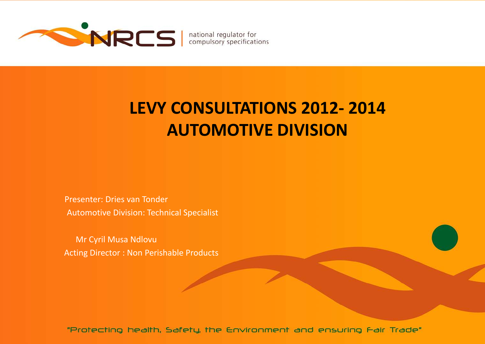

# **LEVY CONSULTATIONS 2012- 2014 AUTOMOTIVE DIVISION**

Presenter: Dries van Tonder Automotive Division: Technical Specialist

Mr Cyril Musa Ndlovu Acting Director : Non Perishable Products

"Protecting health, Safety, the Environment and ensuring Fair Trade"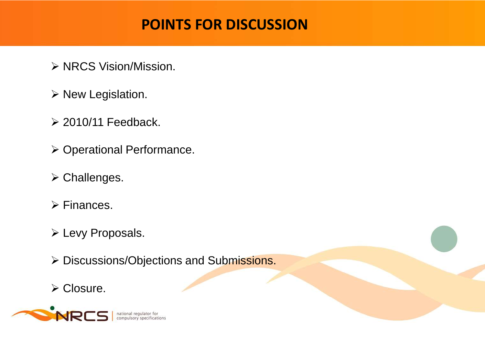# **POINTS FOR DISCUSSION**

- ▶ NRCS Vision/Mission.
- $\triangleright$  New Legislation.
- $\geq$  2010/11 Feedback.
- ▶ Operational Performance.
- **≻ Challenges.**
- $\triangleright$  Finances.
- Levy Proposals.
- Discussions/Objections and Submissions.
- **≻ Closure.**

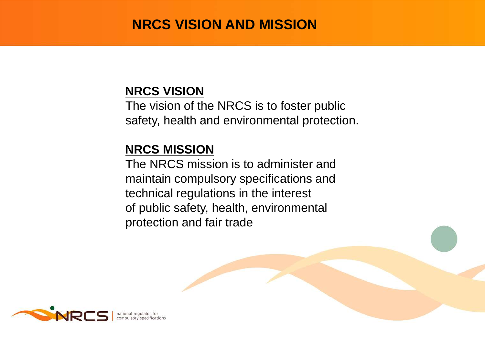## **NRCS VISION AND MISSION**

#### **NRCS VISION**

The vision of the NRCS is to foster public safety, health and environmental protection.

## **NRCS MISSION**

The NRCS mission is to administer and maintain compulsory specifications and technical regulations in the interest of public safety, health, environmental protection and fair trade

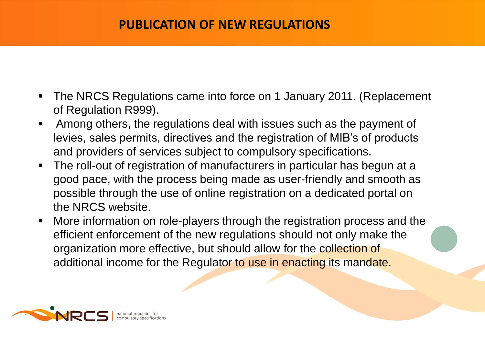#### **PUBLICATION OF NEW REGULATIONS**

- The NRCS Regulations came into force on 1 January 2011. (Replacement of Regulation R999).
- Among others, the regulations deal with issues such as the payment of levies, sales permits, directives and the registration of MIB's of products and providers of services subject to compulsory specifications.
- The roll-out of registration of manufacturers in particular has begun at a good pace, with the process being made as user-friendly and smooth as possible through the use of online registration on a dedicated portal on the NRCS website.
- More information on role-players through the registration process and the efficient enforcement of the new regulations should not only make the organization more effective, but should allow for the collection of additional income for the Regulator to use in enacting its mandate.

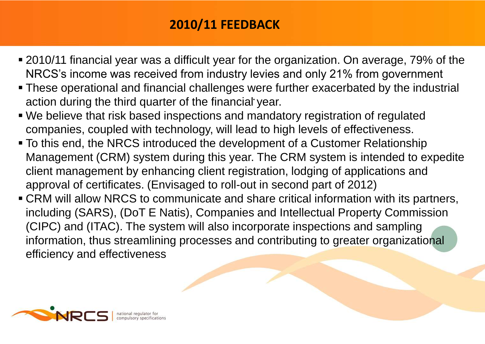## **2010/11 FEEDBACK**

- 2010/11 financial year was a difficult year for the organization. On average, 79% of the NRCS's income was received from industry levies and only 21% from government
- .<br>|- These operational and financial challenges were further exacerbated by the industrial action during the third quarter of the financial year.
- We believe that risk based inspections and mandatory registration of regulated companies, coupled with technology, will lead to high levels of effectiveness.
- To this end, the NRCS introduced the development of a Customer Relationship Management (CRM) system during this year. The CRM system is intended to expedite client management by enhancing client registration, lodging of applications and approval of certificates. (Envisaged to roll-out in second part of 2012)
- CRM will allow NRCS to communicate and share critical information with its partners, including (SARS), (DoT E Natis), Companies and Intellectual Property Commission (CIPC) and (ITAC). The system will also incorporate inspections and sampling information, thus streamlining processes and contributing to greater organizational efficiency and effectiveness

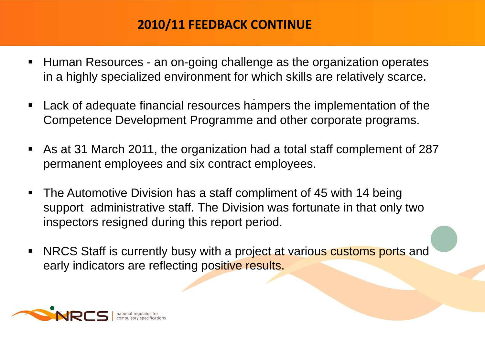## **2010/11 FEEDBACK CONTINUE**

- Human Resources an on-going challenge as the organization operates in a highly specialized environment for which skills are relatively scarce.
- . Lack of adequate financial resources hampers the implementation of the Competence Development Programme and other corporate programs.
- As at 31 March 2011, the organization had a total staff complement of 287 permanent employees and six contract employees.
- The Automotive Division has a staff compliment of 45 with 14 being support administrative staff. The Division was fortunate in that only two inspectors resigned during this report period.
- NRCS Staff is currently busy with a project at various customs ports and early indicators are reflecting positive results.

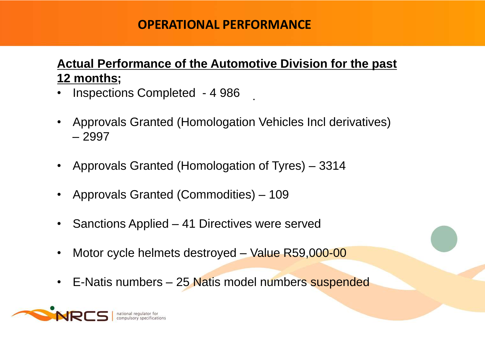#### **OPERATIONAL PERFORMANCE**

## **Actual Performance of the Automotive Division for the past 12 months;**

.

- Inspections Completed 4 986
- Approvals Granted (Homologation Vehicles Incl derivatives) – 2997
- Approvals Granted (Homologation of Tyres) 3314
- Approvals Granted (Commodities) 109
- Sanctions Applied 41 Directives were served
- Motor cycle helmets destroyed Value R59,000-00
- E-Natis numbers 25 Natis model numbers suspended

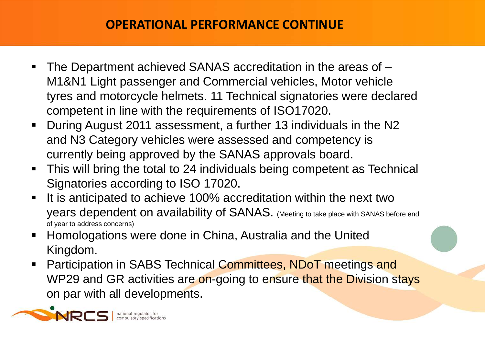#### **OPERATIONAL PERFORMANCE CONTINUE**

- . tyres and motorcycle helmets. 11 Technical signatories were declared The Department achieved SANAS accreditation in the areas of – M1&N1 Light passenger and Commercial vehicles, Motor vehicle competent in line with the requirements of ISO17020.
- During August 2011 assessment, a further 13 individuals in the N2 and N3 Category vehicles were assessed and competency is currently being approved by the SANAS approvals board.
- This will bring the total to 24 individuals being competent as Technical Signatories according to ISO 17020.
- It is anticipated to achieve 100% accreditation within the next two years dependent on availability of SANAS. (Meeting to take place with SANAS before end of year to address concerns)
- Homologations were done in China, Australia and the United Kingdom.
- **Participation in SABS Technical Committees, NDoT meetings and** WP29 and GR activities are on-going to ensure that the Division stays on par with all developments.

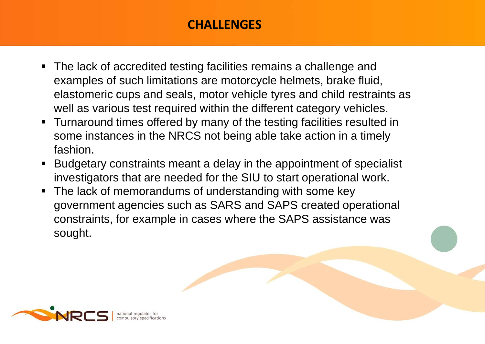#### **CHALLENGES**

- . elastomeric cups and seals, motor vehicle tyres and child restraints as ■ The lack of accredited testing facilities remains a challenge and examples of such limitations are motorcycle helmets, brake fluid, well as various test required within the different category vehicles.
- **Turnaround times offered by many of the testing facilities resulted in** some instances in the NRCS not being able take action in a timely fashion.
- Budgetary constraints meant a delay in the appointment of specialist investigators that are needed for the SIU to start operational work.
- The lack of memorandums of understanding with some key government agencies such as SARS and SAPS created operational constraints, for example in cases where the SAPS assistance was sought.

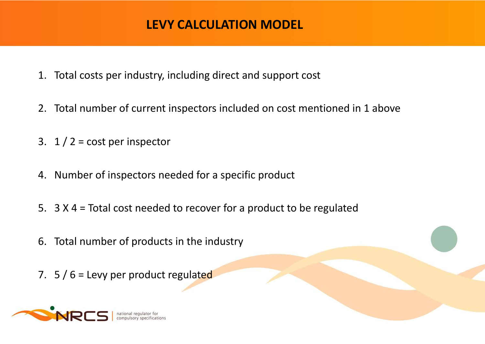#### **LEVY CALCULATION MODEL**

- 1. Total costs per industry, including direct and support cost
- 2. Total number of current inspectors included on cost mentioned in 1 above
- 3.  $1/2$  = cost per inspector
- 4. Number of inspectors needed for a specific product
- 5. 3 X 4 = Total cost needed to recover for a product to be regulated
- 6. Total number of products in the industry
- 7.  $5/6$  = Levy per product regulated

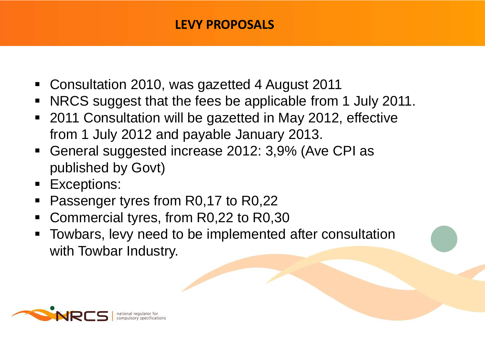## **LEVY PROPOSALS**

- Consultation 2010, was gazetted 4 August 2011
- NRCS suggest that the fees be applicable from 1 July 2011.
- 2011 Consultation will be gazetted in May 2012, effective from 1 July 2012 and payable January 2013.
- General suggested increase 2012: 3,9% (Ave CPI as published by Govt)
- **Exceptions:**
- Passenger tyres from R0,17 to R0,22
- Commercial tyres, from R0,22 to R0,30
- Towbars, levy need to be implemented after consultation with Towbar Industry.

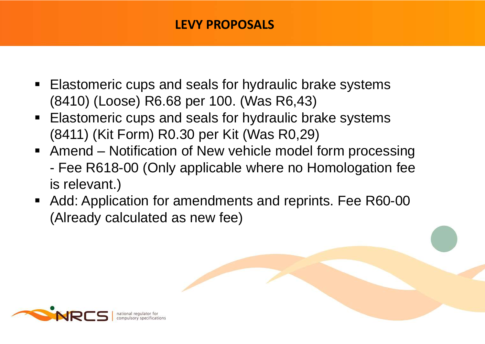## **LEVY PROPOSALS**

- Elastomeric cups and seals for hydraulic brake systems (8410) (Loose) R6.68 per 100. (Was R6,43)
- **Elastomeric cups and seals for hydraulic brake systems** (8411) (Kit Form) R0.30 per Kit (Was R0,29)
- Amend Notification of New vehicle model form processing - Fee R618-00 (Only applicable where no Homologation fee is relevant.)
- Add: Application for amendments and reprints. Fee R60-00 (Already calculated as new fee)

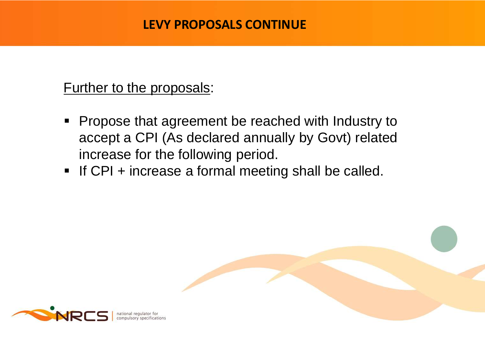#### **LEVY PROPOSALS CONTINUE**

## Further to the proposals:

- **Propose that agreement be reached with Industry to** accept a CPI (As declared annually by Govt) related increase for the following period.
- If CPI + increase a formal meeting shall be called.

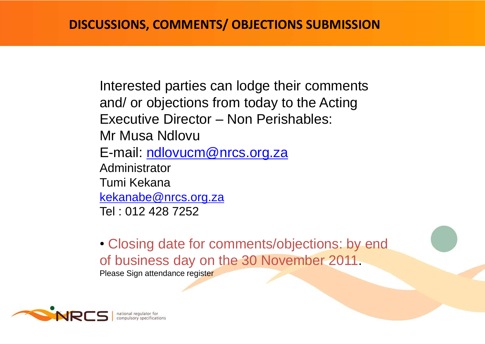Interested parties can lodge their comments and/ or objections from today to the Acting Executive Director – Non Perishables: Mr Musa Ndlovu E-mail: [ndlovucm@nrcs.org.za](mailto:ndlovucm@nrcs.org.za) Administrator Tumi Kekana [kekanabe@nrcs.org.za](mailto:kelanabe@nrcs.org.za) Tel : 012 428 7252

• Closing date for comments/objections: by end of business day on the 30 November 2011.

Please Sign attendance register